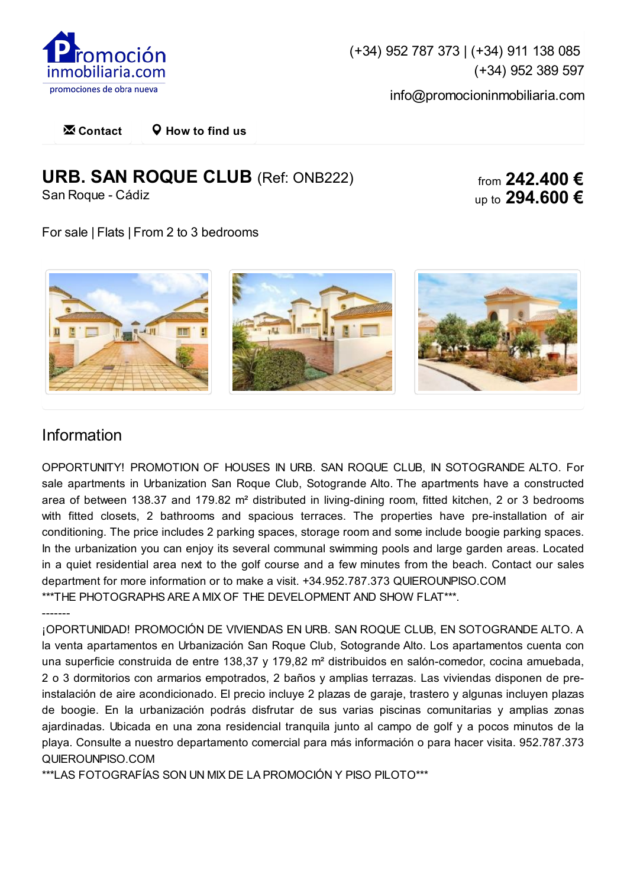

[\(+34\)](tel:952
787
373) 952 787 373 | [\(+34\)](tel:911
138
085) 911 138 085 [\(+34\)](tel:952
389
597) 952 389 597

[info@promocioninmobiliaria.com](mailto:info@promocioninmobiliaria.com)

**[Contact](http://www.promocioninmobiliaria.com.es/en/contact) [How](http://www.promocioninmobiliaria.com.es/en/contact) to find us Ex** Contact

# **URB. SAN ROQUE CLUB** (Ref: ONB222)

San Roque - Cádiz

from **242.400 €** up to **294.600 €**

For sale | Flats | From 2 to 3 bedrooms



#### Information

OPPORTUNITY! PROMOTION OF HOUSES IN URB. SAN ROQUE CLUB, IN SOTOGRANDE ALTO. For sale apartments in Urbanization San Roque Club, Sotogrande Alto. The apartments have a constructed area of between 138.37 and 179.82 m<sup>2</sup> distributed in living-dining room, fitted kitchen, 2 or 3 bedrooms with fitted closets, 2 bathrooms and spacious terraces. The properties have pre-installation of air conditioning. The price includes 2 parking spaces, storage room and some include boogie parking spaces. In the urbanization you can enjoy its several communal swimming pools and large garden areas. Located in a quiet residential area next to the golf course and a few minutes from the beach. Contact our sales department for more information or to make a visit. +34.952.787.373 QUIEROUNPISO.COM \*\*\*THE PHOTOGRAPHS ARE A MIX OF THE DEVELOPMENT AND SHOW FLAT\*\*\*.

-------

¡OPORTUNIDAD! PROMOCIÓN DE VIVIENDAS EN URB. SAN ROQUE CLUB, EN SOTOGRANDE ALTO. A la venta apartamentos en Urbanización San Roque Club, Sotogrande Alto. Los apartamentos cuenta con una superficie construida de entre 138,37 y 179,82 m² distribuidos en salón-comedor, cocina amuebada, 2 o 3 dormitorios con armarios empotrados, 2 baños y amplias terrazas. Las viviendas disponen de preinstalación de aire acondicionado. El precio incluye 2 plazas de garaje, trastero y algunas incluyen plazas de boogie. En la urbanización podrás disfrutar de sus varias piscinas comunitarias y amplias zonas ajardinadas. Ubicada en una zona residencial tranquila junto al campo de golf y a pocos minutos de la playa. Consulte a nuestro departamento comercial para más información o para hacer visita. 952.787.373 QUIEROUNPISO.COM

\*\*\*LAS FOTOGRAFÍAS SON UN MIX DE LA PROMOCIÓN Y PISO PILOTO\*\*\*